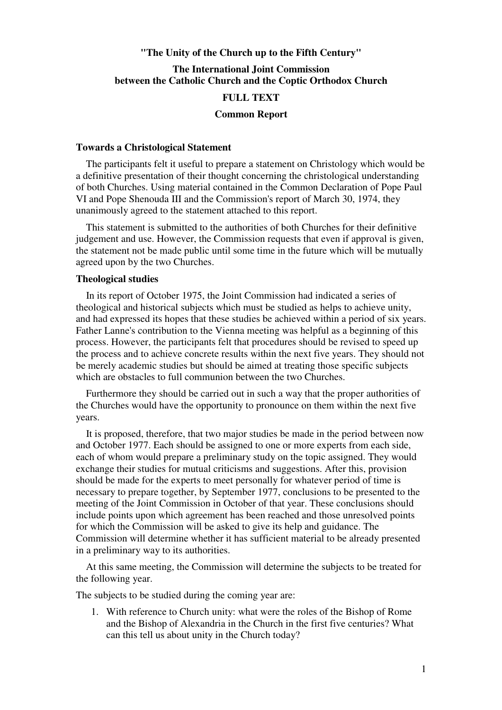# **"The Unity of the Church up to the Fifth Century"**

# **The International Joint Commission between the Catholic Church and the Coptic Orthodox Church**

## **FULL TEXT**

#### **Common Report**

#### **Towards a Christological Statement**

 The participants felt it useful to prepare a statement on Christology which would be a definitive presentation of their thought concerning the christological understanding of both Churches. Using material contained in the Common Declaration of Pope Paul VI and Pope Shenouda III and the Commission's report of March 30, 1974, they unanimously agreed to the statement attached to this report.

 This statement is submitted to the authorities of both Churches for their definitive judgement and use. However, the Commission requests that even if approval is given, the statement not be made public until some time in the future which will be mutually agreed upon by the two Churches.

## **Theological studies**

 In its report of October 1975, the Joint Commission had indicated a series of theological and historical subjects which must be studied as helps to achieve unity, and had expressed its hopes that these studies be achieved within a period of six years. Father Lanne's contribution to the Vienna meeting was helpful as a beginning of this process. However, the participants felt that procedures should be revised to speed up the process and to achieve concrete results within the next five years. They should not be merely academic studies but should be aimed at treating those specific subjects which are obstacles to full communion between the two Churches.

 Furthermore they should be carried out in such a way that the proper authorities of the Churches would have the opportunity to pronounce on them within the next five years.

 It is proposed, therefore, that two major studies be made in the period between now and October 1977. Each should be assigned to one or more experts from each side, each of whom would prepare a preliminary study on the topic assigned. They would exchange their studies for mutual criticisms and suggestions. After this, provision should be made for the experts to meet personally for whatever period of time is necessary to prepare together, by September 1977, conclusions to be presented to the meeting of the Joint Commission in October of that year. These conclusions should include points upon which agreement has been reached and those unresolved points for which the Commission will be asked to give its help and guidance. The Commission will determine whether it has sufficient material to be already presented in a preliminary way to its authorities.

 At this same meeting, the Commission will determine the subjects to be treated for the following year.

The subjects to be studied during the coming year are:

1. With reference to Church unity: what were the roles of the Bishop of Rome and the Bishop of Alexandria in the Church in the first five centuries? What can this tell us about unity in the Church today?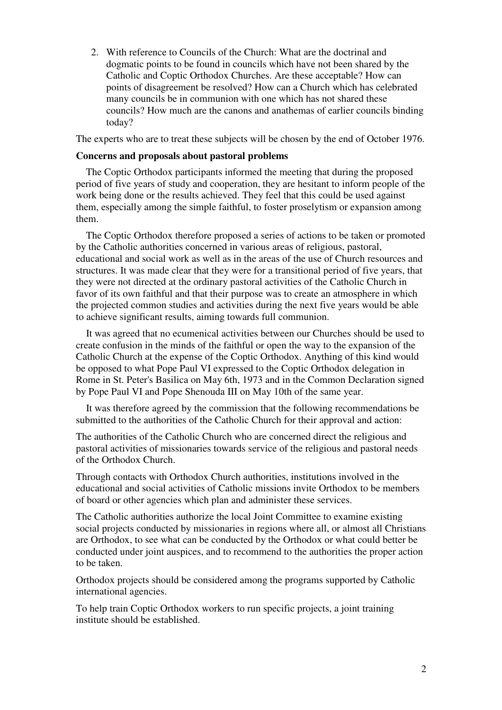2. With reference to Councils of the Church: What are the doctrinal and dogmatic points to be found in councils which have not been shared by the Catholic and Coptic Orthodox Churches. Are these acceptable? How can points of disagreement be resolved? How can a Church which has celebrated many councils be in communion with one which has not shared these councils? How much are the canons and anathemas of earlier councils binding today?

The experts who are to treat these subjects will be chosen by the end of October 1976.

### **Concerns and proposals about pastoral problems**

 The Coptic Orthodox participants informed the meeting that during the proposed period of five years of study and cooperation, they are hesitant to inform people of the work being done or the results achieved. They feel that this could be used against them, especially among the simple faithful, to foster proselytism or expansion among them.

 The Coptic Orthodox therefore proposed a series of actions to be taken or promoted by the Catholic authorities concerned in various areas of religious, pastoral, educational and social work as well as in the areas of the use of Church resources and structures. It was made clear that they were for a transitional period of five years, that they were not directed at the ordinary pastoral activities of the Catholic Church in favor of its own faithful and that their purpose was to create an atmosphere in which the projected common studies and activities during the next five years would be able to achieve significant results, aiming towards full communion.

 It was agreed that no ecumenical activities between our Churches should be used to create confusion in the minds of the faithful or open the way to the expansion of the Catholic Church at the expense of the Coptic Orthodox. Anything of this kind would be opposed to what Pope Paul VI expressed to the Coptic Orthodox delegation in Rome in St. Peter's Basilica on May 6th, 1973 and in the Common Declaration signed by Pope Paul VI and Pope Shenouda III on May 10th of the same year.

 It was therefore agreed by the commission that the following recommendations be submitted to the authorities of the Catholic Church for their approval and action:

The authorities of the Catholic Church who are concerned direct the religious and pastoral activities of missionaries towards service of the religious and pastoral needs of the Orthodox Church.

Through contacts with Orthodox Church authorities, institutions involved in the educational and social activities of Catholic missions invite Orthodox to be members of board or other agencies which plan and administer these services.

The Catholic authorities authorize the local Joint Committee to examine existing social projects conducted by missionaries in regions where all, or almost all Christians are Orthodox, to see what can be conducted by the Orthodox or what could better be conducted under joint auspices, and to recommend to the authorities the proper action to be taken.

Orthodox projects should be considered among the programs supported by Catholic international agencies.

To help train Coptic Orthodox workers to run specific projects, a joint training institute should be established.